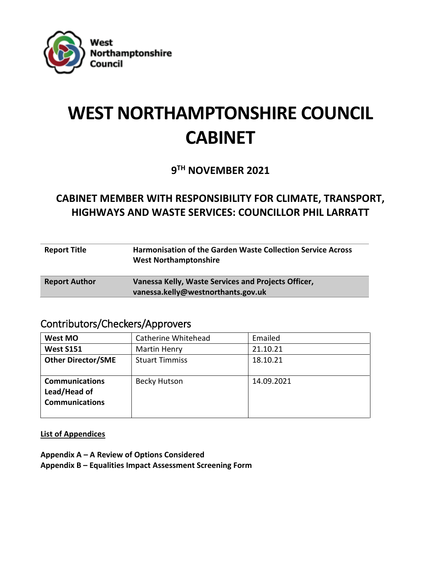

# **WEST NORTHAMPTONSHIRE COUNCIL CABINET**

**9 TH NOVEMBER 2021**

# **CABINET MEMBER WITH RESPONSIBILITY FOR CLIMATE, TRANSPORT, HIGHWAYS AND WASTE SERVICES: COUNCILLOR PHIL LARRATT**

| <b>Report Title</b>  | <b>Harmonisation of the Garden Waste Collection Service Across</b><br><b>West Northamptonshire</b> |
|----------------------|----------------------------------------------------------------------------------------------------|
| <b>Report Author</b> | Vanessa Kelly, Waste Services and Projects Officer,<br>vanessa.kelly@westnorthants.gov.uk          |

# Contributors/Checkers/Approvers

| West MO                   | Catherine Whitehead   | Emailed    |
|---------------------------|-----------------------|------------|
| <b>West S151</b>          | <b>Martin Henry</b>   | 21.10.21   |
| <b>Other Director/SME</b> | <b>Stuart Timmiss</b> | 18.10.21   |
|                           |                       |            |
| <b>Communications</b>     | <b>Becky Hutson</b>   | 14.09.2021 |
| Lead/Head of              |                       |            |
| <b>Communications</b>     |                       |            |
|                           |                       |            |

**List of Appendices**

**Appendix A – A Review of Options Considered Appendix B – Equalities Impact Assessment Screening Form**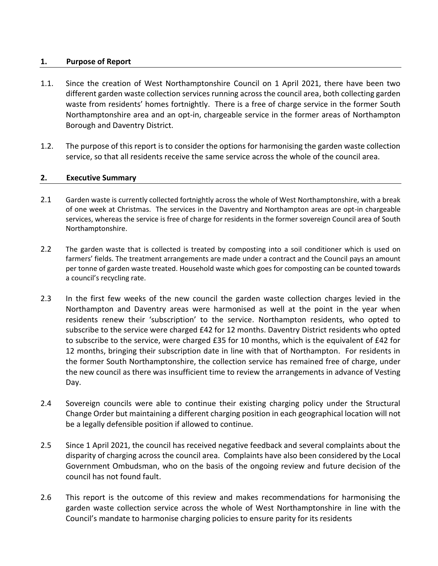#### **1. Purpose of Report**

- 1.1. Since the creation of West Northamptonshire Council on 1 April 2021, there have been two different garden waste collection services running across the council area, both collecting garden waste from residents' homes fortnightly. There is a free of charge service in the former South Northamptonshire area and an opt-in, chargeable service in the former areas of Northampton Borough and Daventry District.
- 1.2. The purpose of this report is to consider the options for harmonising the garden waste collection service, so that all residents receive the same service across the whole of the council area.

#### **2. Executive Summary**

- 2.1 Garden waste is currently collected fortnightly across the whole of West Northamptonshire, with a break of one week at Christmas. The services in the Daventry and Northampton areas are opt-in chargeable services, whereas the service is free of charge for residents in the former sovereign Council area of South Northamptonshire.
- 2.2 The garden waste that is collected is treated by composting into a soil conditioner which is used on farmers' fields. The treatment arrangements are made under a contract and the Council pays an amount per tonne of garden waste treated. Household waste which goes for composting can be counted towards a council's recycling rate.
- 2.3 In the first few weeks of the new council the garden waste collection charges levied in the Northampton and Daventry areas were harmonised as well at the point in the year when residents renew their 'subscription' to the service. Northampton residents, who opted to subscribe to the service were charged £42 for 12 months. Daventry District residents who opted to subscribe to the service, were charged £35 for 10 months, which is the equivalent of £42 for 12 months, bringing their subscription date in line with that of Northampton. For residents in the former South Northamptonshire, the collection service has remained free of charge, under the new council as there was insufficient time to review the arrangements in advance of Vesting Day.
- 2.4 Sovereign councils were able to continue their existing charging policy under the Structural Change Order but maintaining a different charging position in each geographical location will not be a legally defensible position if allowed to continue.
- 2.5 Since 1 April 2021, the council has received negative feedback and several complaints about the disparity of charging across the council area. Complaints have also been considered by the Local Government Ombudsman, who on the basis of the ongoing review and future decision of the council has not found fault.
- 2.6 This report is the outcome of this review and makes recommendations for harmonising the garden waste collection service across the whole of West Northamptonshire in line with the Council's mandate to harmonise charging policies to ensure parity for its residents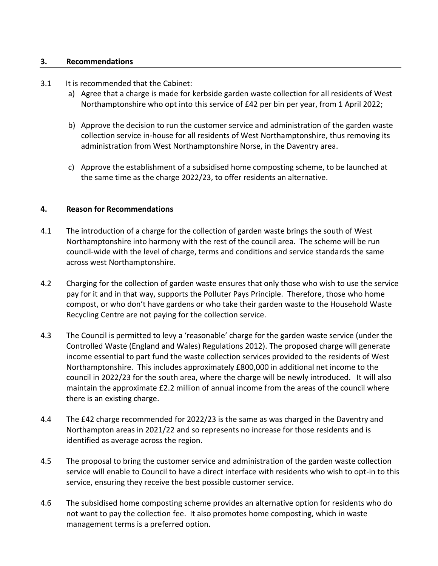#### **3. Recommendations**

#### 3.1 It is recommended that the Cabinet:

- a) Agree that a charge is made for kerbside garden waste collection for all residents of West Northamptonshire who opt into this service of £42 per bin per year, from 1 April 2022;
- b) Approve the decision to run the customer service and administration of the garden waste collection service in-house for all residents of West Northamptonshire, thus removing its administration from West Northamptonshire Norse, in the Daventry area.
- c) Approve the establishment of a subsidised home composting scheme, to be launched at the same time as the charge 2022/23, to offer residents an alternative.

#### **4. Reason for Recommendations**

- 4.1 The introduction of a charge for the collection of garden waste brings the south of West Northamptonshire into harmony with the rest of the council area. The scheme will be run council-wide with the level of charge, terms and conditions and service standards the same across west Northamptonshire.
- 4.2 Charging for the collection of garden waste ensures that only those who wish to use the service pay for it and in that way, supports the Polluter Pays Principle. Therefore, those who home compost, or who don't have gardens or who take their garden waste to the Household Waste Recycling Centre are not paying for the collection service.
- 4.3 The Council is permitted to levy a 'reasonable' charge for the garden waste service (under the Controlled Waste (England and Wales) Regulations 2012). The proposed charge will generate income essential to part fund the waste collection services provided to the residents of West Northamptonshire. This includes approximately £800,000 in additional net income to the council in 2022/23 for the south area, where the charge will be newly introduced. It will also maintain the approximate £2.2 million of annual income from the areas of the council where there is an existing charge.
- 4.4 The £42 charge recommended for 2022/23 is the same as was charged in the Daventry and Northampton areas in 2021/22 and so represents no increase for those residents and is identified as average across the region.
- 4.5 The proposal to bring the customer service and administration of the garden waste collection service will enable to Council to have a direct interface with residents who wish to opt-in to this service, ensuring they receive the best possible customer service.
- 4.6 The subsidised home composting scheme provides an alternative option for residents who do not want to pay the collection fee. It also promotes home composting, which in waste management terms is a preferred option.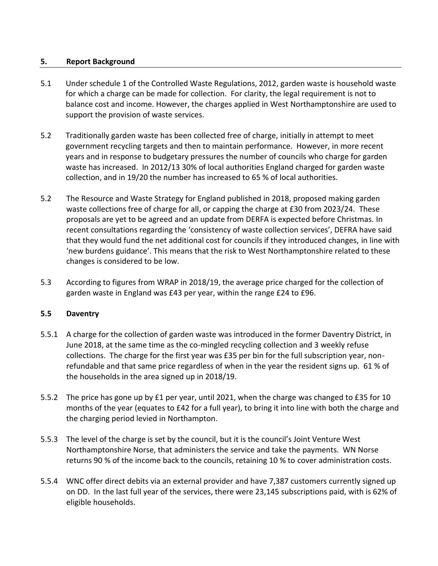#### **5. Report Background**

- 5.1 Under schedule 1 of the Controlled Waste Regulations, 2012, garden waste is household waste for which a charge can be made for collection. For clarity, the legal requirement is not to balance cost and income. However, the charges applied in West Northamptonshire are used to support the provision of waste services.
- 5.2 Traditionally garden waste has been collected free of charge, initially in attempt to meet government recycling targets and then to maintain performance. However, in more recent years and in response to budgetary pressures the number of councils who charge for garden waste has increased. In 2012/13 30% of local authorities England charged for garden waste collection, and in 19/20 the number has increased to 65 % of local authorities.
- 5.2 The Resource and Waste Strategy for England published in 2018, proposed making garden waste collections free of charge for all, or capping the charge at £30 from 2023/24. These proposals are yet to be agreed and an update from DERFA is expected before Christmas. In recent consultations regarding the 'consistency of waste collection services', DEFRA have said that they would fund the net additional cost for councils if they introduced changes, in line with 'new burdens guidance'. This means that the risk to West Northamptonshire related to these changes is considered to be low.
- 5.3 According to figures from WRAP in 2018/19, the average price charged for the collection of garden waste in England was £43 per year, within the range £24 to £96.

#### **5.5 Daventry**

- 5.5.1 A charge for the collection of garden waste was introduced in the former Daventry District, in June 2018, at the same time as the co-mingled recycling collection and 3 weekly refuse collections. The charge for the first year was £35 per bin for the full subscription year, nonrefundable and that same price regardless of when in the year the resident signs up. 61 % of the households in the area signed up in 2018/19.
- 5.5.2 The price has gone up by £1 per year, until 2021, when the charge was changed to £35 for 10 months of the year (equates to £42 for a full year), to bring it into line with both the charge and the charging period levied in Northampton.
- 5.5.3 The level of the charge is set by the council, but it is the council's Joint Venture West Northamptonshire Norse, that administers the service and take the payments. WN Norse returns 90 % of the income back to the councils, retaining 10 % to cover administration costs.
- 5.5.4 WNC offer direct debits via an external provider and have 7,387 customers currently signed up on DD. In the last full year of the services, there were 23,145 subscriptions paid, with is 62% of eligible households.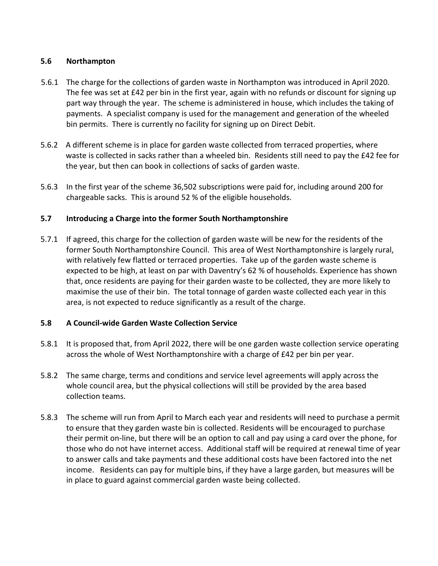# **5.6 Northampton**

- 5.6.1 The charge for the collections of garden waste in Northampton was introduced in April 2020. The fee was set at £42 per bin in the first year, again with no refunds or discount for signing up part way through the year. The scheme is administered in house, which includes the taking of payments. A specialist company is used for the management and generation of the wheeled bin permits. There is currently no facility for signing up on Direct Debit.
- 5.6.2 A different scheme is in place for garden waste collected from terraced properties, where waste is collected in sacks rather than a wheeled bin. Residents still need to pay the £42 fee for the year, but then can book in collections of sacks of garden waste.
- 5.6.3 In the first year of the scheme 36,502 subscriptions were paid for, including around 200 for chargeable sacks. This is around 52 % of the eligible households.

# **5.7 Introducing a Charge into the former South Northamptonshire**

5.7.1 If agreed, this charge for the collection of garden waste will be new for the residents of the former South Northamptonshire Council. This area of West Northamptonshire is largely rural, with relatively few flatted or terraced properties. Take up of the garden waste scheme is expected to be high, at least on par with Daventry's 62 % of households. Experience has shown that, once residents are paying for their garden waste to be collected, they are more likely to maximise the use of their bin. The total tonnage of garden waste collected each year in this area, is not expected to reduce significantly as a result of the charge.

#### **5.8 A Council-wide Garden Waste Collection Service**

- 5.8.1 It is proposed that, from April 2022, there will be one garden waste collection service operating across the whole of West Northamptonshire with a charge of £42 per bin per year.
- 5.8.2 The same charge, terms and conditions and service level agreements will apply across the whole council area, but the physical collections will still be provided by the area based collection teams.
- 5.8.3 The scheme will run from April to March each year and residents will need to purchase a permit to ensure that they garden waste bin is collected. Residents will be encouraged to purchase their permit on-line, but there will be an option to call and pay using a card over the phone, for those who do not have internet access. Additional staff will be required at renewal time of year to answer calls and take payments and these additional costs have been factored into the net income. Residents can pay for multiple bins, if they have a large garden, but measures will be in place to guard against commercial garden waste being collected.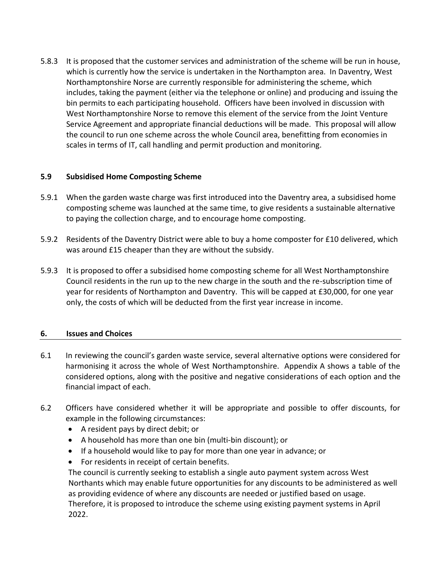5.8.3 It is proposed that the customer services and administration of the scheme will be run in house, which is currently how the service is undertaken in the Northampton area. In Daventry, West Northamptonshire Norse are currently responsible for administering the scheme, which includes, taking the payment (either via the telephone or online) and producing and issuing the bin permits to each participating household. Officers have been involved in discussion with West Northamptonshire Norse to remove this element of the service from the Joint Venture Service Agreement and appropriate financial deductions will be made. This proposal will allow the council to run one scheme across the whole Council area, benefitting from economies in scales in terms of IT, call handling and permit production and monitoring.

# **5.9 Subsidised Home Composting Scheme**

- 5.9.1 When the garden waste charge was first introduced into the Daventry area, a subsidised home composting scheme was launched at the same time, to give residents a sustainable alternative to paying the collection charge, and to encourage home composting.
- 5.9.2 Residents of the Daventry District were able to buy a home composter for £10 delivered, which was around £15 cheaper than they are without the subsidy.
- 5.9.3 It is proposed to offer a subsidised home composting scheme for all West Northamptonshire Council residents in the run up to the new charge in the south and the re-subscription time of year for residents of Northampton and Daventry. This will be capped at £30,000, for one year only, the costs of which will be deducted from the first year increase in income.

#### **6. Issues and Choices**

- 6.1 In reviewing the council's garden waste service, several alternative options were considered for harmonising it across the whole of West Northamptonshire. Appendix A shows a table of the considered options, along with the positive and negative considerations of each option and the financial impact of each.
- 6.2 Officers have considered whether it will be appropriate and possible to offer discounts, for example in the following circumstances:
	- A resident pays by direct debit; or
	- A household has more than one bin (multi-bin discount); or
	- If a household would like to pay for more than one year in advance; or
	- For residents in receipt of certain benefits.

The council is currently seeking to establish a single auto payment system across West Northants which may enable future opportunities for any discounts to be administered as well as providing evidence of where any discounts are needed or justified based on usage. Therefore, it is proposed to introduce the scheme using existing payment systems in April 2022.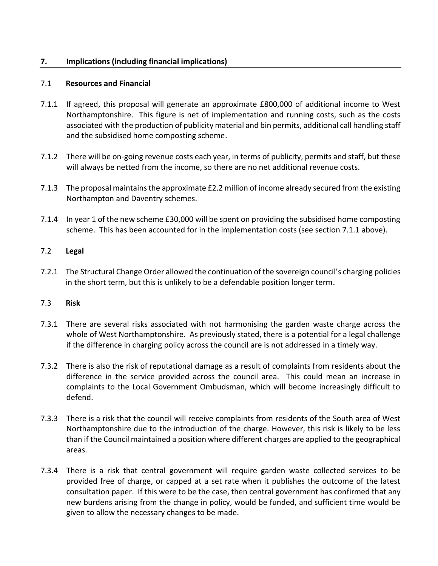#### **7. Implications (including financial implications)**

#### 7.1 **Resources and Financial**

- 7.1.1 If agreed, this proposal will generate an approximate £800,000 of additional income to West Northamptonshire. This figure is net of implementation and running costs, such as the costs associated with the production of publicity material and bin permits, additional call handling staff and the subsidised home composting scheme.
- 7.1.2 There will be on-going revenue costs each year, in terms of publicity, permits and staff, but these will always be netted from the income, so there are no net additional revenue costs.
- 7.1.3 The proposal maintains the approximate £2.2 million of income already secured from the existing Northampton and Daventry schemes.
- 7.1.4 In year 1 of the new scheme £30,000 will be spent on providing the subsidised home composting scheme. This has been accounted for in the implementation costs (see section 7.1.1 above).

#### 7.2 **Legal**

7.2.1 The Structural Change Order allowed the continuation of the sovereign council's charging policies in the short term, but this is unlikely to be a defendable position longer term.

#### 7.3 **Risk**

- 7.3.1 There are several risks associated with not harmonising the garden waste charge across the whole of West Northamptonshire. As previously stated, there is a potential for a legal challenge if the difference in charging policy across the council are is not addressed in a timely way.
- 7.3.2 There is also the risk of reputational damage as a result of complaints from residents about the difference in the service provided across the council area. This could mean an increase in complaints to the Local Government Ombudsman, which will become increasingly difficult to defend.
- 7.3.3 There is a risk that the council will receive complaints from residents of the South area of West Northamptonshire due to the introduction of the charge. However, this risk is likely to be less than if the Council maintained a position where different charges are applied to the geographical areas.
- 7.3.4 There is a risk that central government will require garden waste collected services to be provided free of charge, or capped at a set rate when it publishes the outcome of the latest consultation paper. If this were to be the case, then central government has confirmed that any new burdens arising from the change in policy, would be funded, and sufficient time would be given to allow the necessary changes to be made.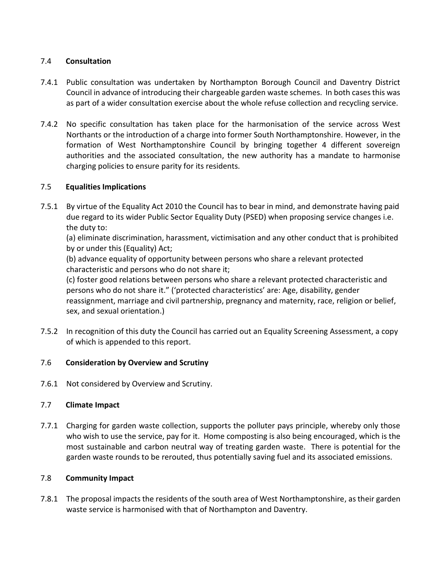# 7.4 **Consultation**

- 7.4.1 Public consultation was undertaken by Northampton Borough Council and Daventry District Council in advance of introducing their chargeable garden waste schemes. In both cases this was as part of a wider consultation exercise about the whole refuse collection and recycling service.
- 7.4.2 No specific consultation has taken place for the harmonisation of the service across West Northants or the introduction of a charge into former South Northamptonshire. However, in the formation of West Northamptonshire Council by bringing together 4 different sovereign authorities and the associated consultation, the new authority has a mandate to harmonise charging policies to ensure parity for its residents.

# 7.5 **Equalities Implications**

7.5.1 By virtue of the Equality Act 2010 the Council has to bear in mind, and demonstrate having paid due regard to its wider Public Sector Equality Duty (PSED) when proposing service changes i.e. the duty to:

(a) eliminate discrimination, harassment, victimisation and any other conduct that is prohibited by or under this (Equality) Act;

(b) advance equality of opportunity between persons who share a relevant protected characteristic and persons who do not share it;

(c) foster good relations between persons who share a relevant protected characteristic and persons who do not share it." ('protected characteristics' are: Age, disability, gender reassignment, marriage and civil partnership, pregnancy and maternity, race, religion or belief, sex, and sexual orientation.)

7.5.2 In recognition of this duty the Council has carried out an Equality Screening Assessment, a copy of which is appended to this report.

#### 7.6 **Consideration by Overview and Scrutiny**

7.6.1 Not considered by Overview and Scrutiny.

#### 7.7 **Climate Impact**

7.7.1 Charging for garden waste collection, supports the polluter pays principle, whereby only those who wish to use the service, pay for it. Home composting is also being encouraged, which is the most sustainable and carbon neutral way of treating garden waste. There is potential for the garden waste rounds to be rerouted, thus potentially saving fuel and its associated emissions.

#### 7.8 **Community Impact**

7.8.1 The proposal impacts the residents of the south area of West Northamptonshire, as their garden waste service is harmonised with that of Northampton and Daventry.